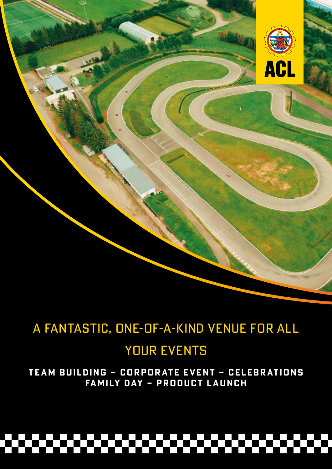

# A FANTASTIC, ONE-OF-A-KIND VENUE FOR ALL

# YOUR EVENTS

**TEAM BUILDING – CORPORATE EVENT – CELEBRATIONS FAMILY DAY – PRODUCT LAUNCH**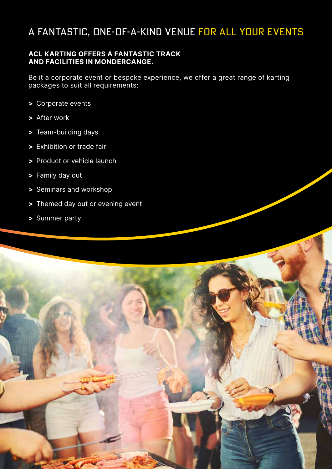### A FANTASTIC, ONE-OF-A-KIND VENUE FOR ALL YOUR EVENTS

### **ACL KARTING OFFERS A FANTASTIC TRACK AND FACILITIES IN MONDERCANGE.**

Be it a corporate event or bespoke experience, we offer a great range of karting packages to suit all requirements:

- **>** Corporate events
- **>** After work
- **>** Team-building days
- **>** Exhibition or trade fair
- **>** Product or vehicle launch
- **>** Family day out
- **>** Seminars and workshop
- **>** Themed day out or evening event
- **>** Summer party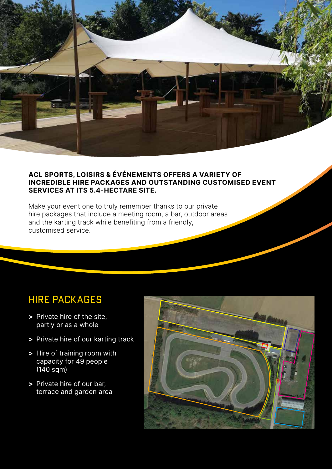

### **ACL SPORTS, LOISIRS & ÉVÉNEMENTS OFFERS A VARIETY OF INCREDIBLE HIRE PACKAGES AND OUTSTANDING CUSTOMISED EVENT SERVICES AT ITS 5.4-HECTARE SITE.**

Make your event one to truly remember thanks to our private hire packages that include a meeting room, a bar, outdoor areas and the karting track while benefiting from a friendly, customised service.

### HIRE PACKAGES

- **>** Private hire of the site, partly or as a whole
- **>** Private hire of our karting track
- **>** Hire of training room with capacity for 49 people (140 sqm)
- **>** Private hire of our bar, terrace and garden area

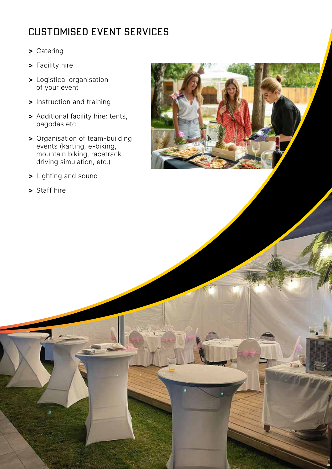## CUSTOMISED EVENT SERVICES

- **>** Catering
- **>** Facility hire
- **>** Logistical organisation of your event
- **>** Instruction and training
- **>** Additional facility hire: tents, pagodas etc.
- **>** Organisation of team-building events (karting, e-biking, mountain biking, racetrack driving simulation, etc.)
- **>** Lighting and sound
- **>** Staff hire

ă.

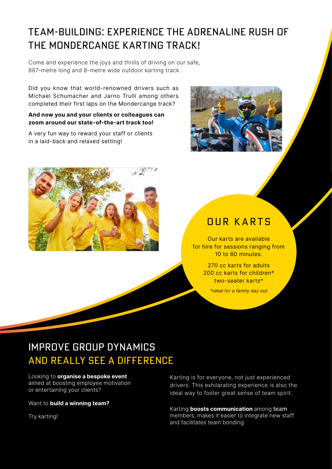## TEAM-BUILDING: EXPERIENCE THE ADRENALINE RUSH OF THE MONDERCANGE KARTING TRACK!

Come and experience the joys and thrills of driving on our safe, 867-metre long and 8-metre wide outdoor karting track.

Did you know that world-renowned drivers such as Michael Schumacher and Jarno Trulli among others completed their first laps on the Mondercange track?

#### **And now you and your clients or colleagues can zoom around our state-of-the-art track too!**

A very fun way to reward your staff or clients in a laid-back and relaxed setting!





### OUR KARTS

Our karts are available for hire for sessions ranging from 10 to 60 minutes.

> 270 cc karts for adults 200 cc karts for children\* two-seater karts\*

*\*ideal for a family day out*

### IMPROVE GROUP DYNAMICS AND REALLY SEE A DIFFERENCE

#### Looking to **organise a bespoke event**

aimed at boosting employee motivation or entertaining your clients?

#### Want to **build a winning team?**

Try karting!

Karting is for everyone, not just experienced drivers. This exhilarating experience is also the ideal way to foster great sense of team spirit.

Karting **boosts communication** among team members, makes it easier to integrate new staff and facilitates team bonding.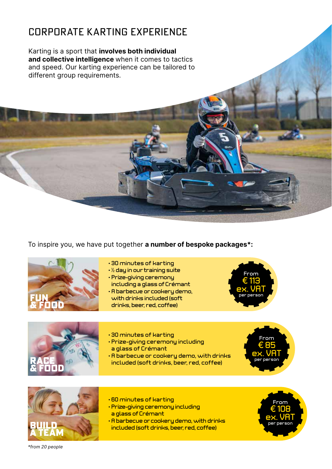### CORPORATE KARTING EXPERIENCE

Karting is a sport that **involves both individual and collective intelligence** when it comes to tactics and speed. Our karting experience can be tailored to different group requirements.

To inspire you, we have put together **a number of bespoke packages\*:**



- 30 minutes of karting
- ½ day in our training suite
- Prize-giving ceremony
- including a glass of Crémant
- A barbecue or cookery demo, with drinks included (soft drinks, beer, red, coffee)





- 30 minutes of karting
- Prize-giving ceremony including a glass of Crémant
- A barbecue or cookery demo, with drinks **RACE**  $\leq$  **Per person** included (soft drinks, beer, red, coffee)





- 60 minutes of karting
- Prize-giving ceremony including a glass of Crémant
- $\cdot$  A barbecue or cookery demo, with drinks<br>included (soft drinks, beer, red, coffee)



*\*from 20 people*